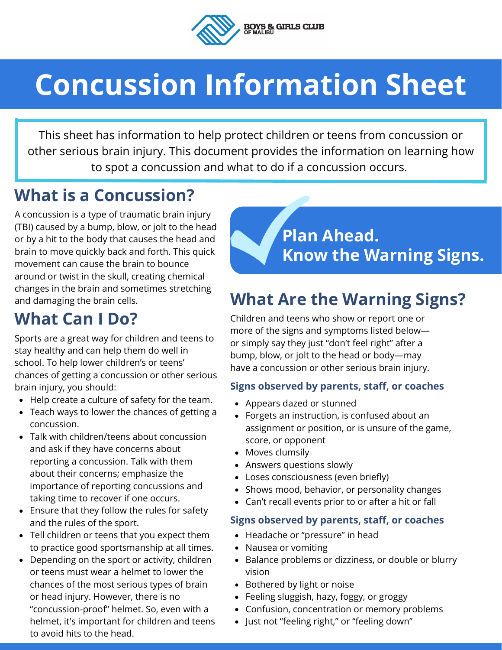

# **Concussion Information Sheet**

This sheet has information to help protect children or teens from concussion or other serious brain injury. This document provides the information on learning how to spot a concussion and what to do if a concussion occurs.

#### **What is a Concussion?**

A concussion is a type of traumatic brain injury (TBI) caused by a bump, blow, or jolt to the head or by a hit to the body that causes the head and brain to move quickly back and forth. This quick movement can cause the brain to bounce around or twist in the skull, creating chemical changes in the brain and sometimes stretching and damaging the brain cells.

### **What Can I Do?**

Sports are a great way for children and teens to stay healthy and can help them do well in school. To help lower children's or teens' chances of getting a concussion or other serious brain injury, you should:

- Help create a culture of safety for the team.
- Teach ways to lower the chances of getting a concussion.
- Talk with children/teens about concussion and ask if they have concerns about reporting a concussion. Talk with them about their concerns; emphasize the importance of reporting concussions and taking time to recover if one occurs.
- Ensure that they follow the rules for safety and the rules of the sport.
- Tell children or teens that you expect them to practice good sportsmanship at all times.
- Depending on the sport or activity, children or teens must wear a helmet to lower the chances of the most serious types of brain or head injury. However, there is no "concussion-proofȋ helmet. So, even with a helmet, it's important for children and teens to avoid hits to the head.



## **What Are the Warning Signs?**

Children and teens who show or report one or more of the signs and symptoms listed below or simply say they just "don't feel right" after a bump, blow, or jolt to the head or body—may have a concussion or other serious brain injury.

#### **Signs observed by parents, staff, or coaches**

- Appears dazed or stunned
- Forgets an instruction, is confused about an assignment or position, or is unsure of the game, score, or opponent
- Moves clumsily
- Answers questions slowly
- Loses consciousness (even briefly)
- Shows mood, behavior, or personality changes
- Can't recall events prior to or after a hit or fall

#### **Signs observed by parents, staff, or coaches**

- Headache or "pressure" in head
- Nausea or vomiting
- Balance problems or dizziness, or double or blurry vision
- Bothered by light or noise
- Feeling sluggish, hazy, foggy, or groggy
- Confusion, concentration or memory problems
- Just not "feeling right," or "feeling down"